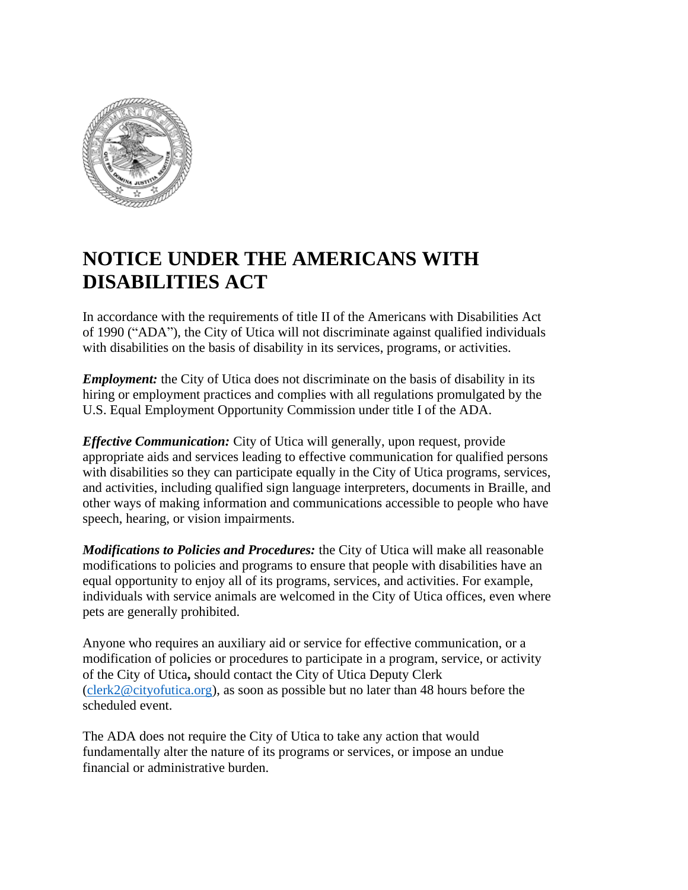

## **NOTICE UNDER THE AMERICANS WITH DISABILITIES ACT**

In accordance with the requirements of title II of the Americans with Disabilities Act of 1990 ("ADA"), the City of Utica will not discriminate against qualified individuals with disabilities on the basis of disability in its services, programs, or activities.

*Employment:* the City of Utica does not discriminate on the basis of disability in its hiring or employment practices and complies with all regulations promulgated by the U.S. Equal Employment Opportunity Commission under title I of the ADA.

*Effective Communication:* City of Utica will generally, upon request, provide appropriate aids and services leading to effective communication for qualified persons with disabilities so they can participate equally in the City of Utica programs, services, and activities, including qualified sign language interpreters, documents in Braille, and other ways of making information and communications accessible to people who have speech, hearing, or vision impairments.

*Modifications to Policies and Procedures:* the City of Utica will make all reasonable modifications to policies and programs to ensure that people with disabilities have an equal opportunity to enjoy all of its programs, services, and activities. For example, individuals with service animals are welcomed in the City of Utica offices, even where pets are generally prohibited.

Anyone who requires an auxiliary aid or service for effective communication, or a modification of policies or procedures to participate in a program, service, or activity of the City of Utica**,** should contact the City of Utica Deputy Clerk [\(clerk2@cityofutica.org\)](mailto:clerk2@cityofutica.org), as soon as possible but no later than 48 hours before the scheduled event.

The ADA does not require the City of Utica to take any action that would fundamentally alter the nature of its programs or services, or impose an undue financial or administrative burden.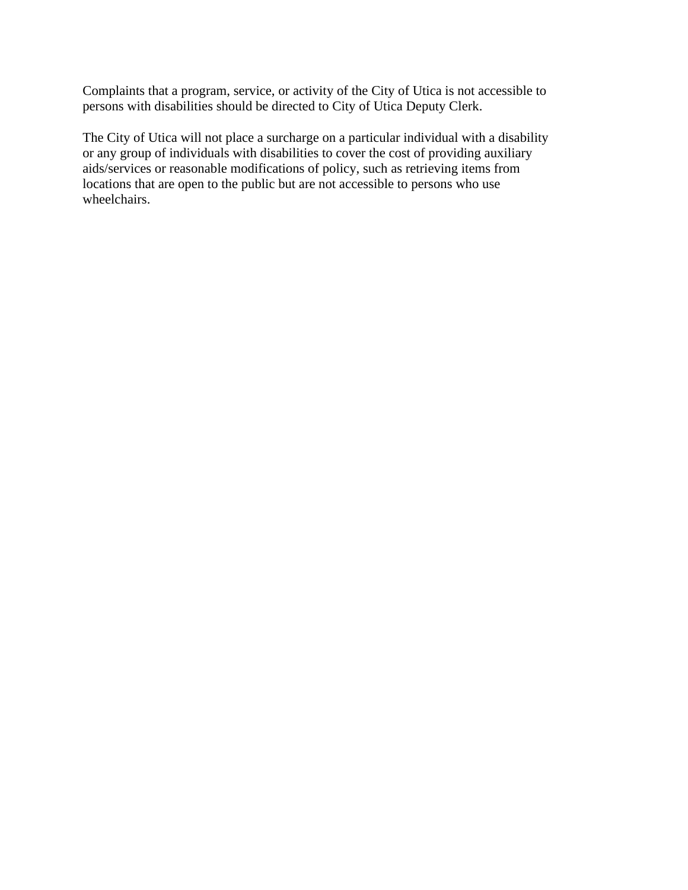Complaints that a program, service, or activity of the City of Utica is not accessible to persons with disabilities should be directed to City of Utica Deputy Clerk.

The City of Utica will not place a surcharge on a particular individual with a disability or any group of individuals with disabilities to cover the cost of providing auxiliary aids/services or reasonable modifications of policy, such as retrieving items from locations that are open to the public but are not accessible to persons who use wheelchairs.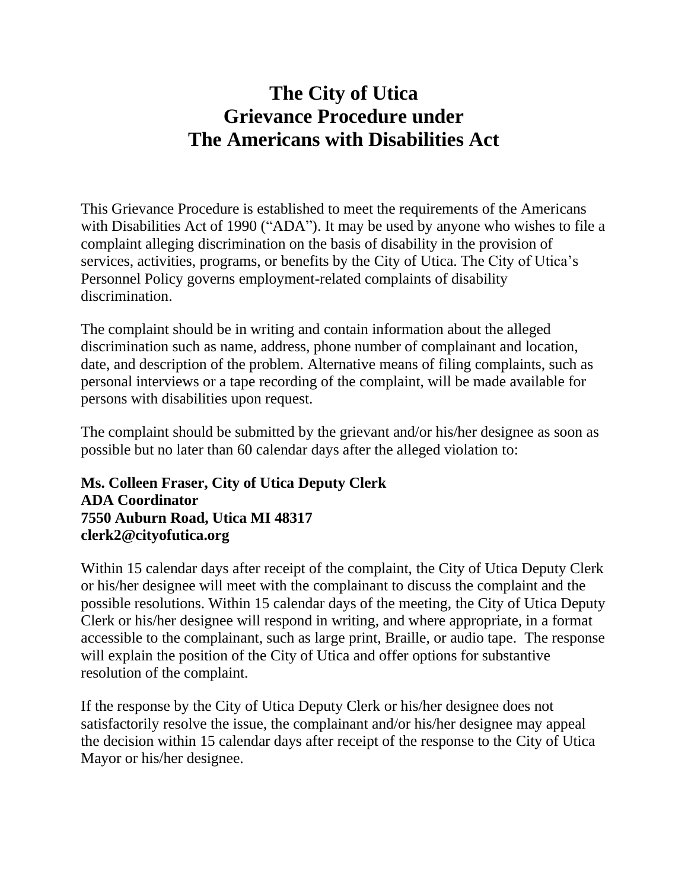## **The City of Utica Grievance Procedure under The Americans with Disabilities Act**

This Grievance Procedure is established to meet the requirements of the Americans with Disabilities Act of 1990 ("ADA"). It may be used by anyone who wishes to file a complaint alleging discrimination on the basis of disability in the provision of services, activities, programs, or benefits by the City of Utica. The City of Utica's Personnel Policy governs employment-related complaints of disability discrimination.

The complaint should be in writing and contain information about the alleged discrimination such as name, address, phone number of complainant and location, date, and description of the problem. Alternative means of filing complaints, such as personal interviews or a tape recording of the complaint, will be made available for persons with disabilities upon request.

The complaint should be submitted by the grievant and/or his/her designee as soon as possible but no later than 60 calendar days after the alleged violation to:

## **Ms. Colleen Fraser, City of Utica Deputy Clerk ADA Coordinator 7550 Auburn Road, Utica MI 48317 clerk2@cityofutica.org**

Within 15 calendar days after receipt of the complaint, the City of Utica Deputy Clerk or his/her designee will meet with the complainant to discuss the complaint and the possible resolutions. Within 15 calendar days of the meeting, the City of Utica Deputy Clerk or his/her designee will respond in writing, and where appropriate, in a format accessible to the complainant, such as large print, Braille, or audio tape. The response will explain the position of the City of Utica and offer options for substantive resolution of the complaint.

If the response by the City of Utica Deputy Clerk or his/her designee does not satisfactorily resolve the issue, the complainant and/or his/her designee may appeal the decision within 15 calendar days after receipt of the response to the City of Utica Mayor or his/her designee.